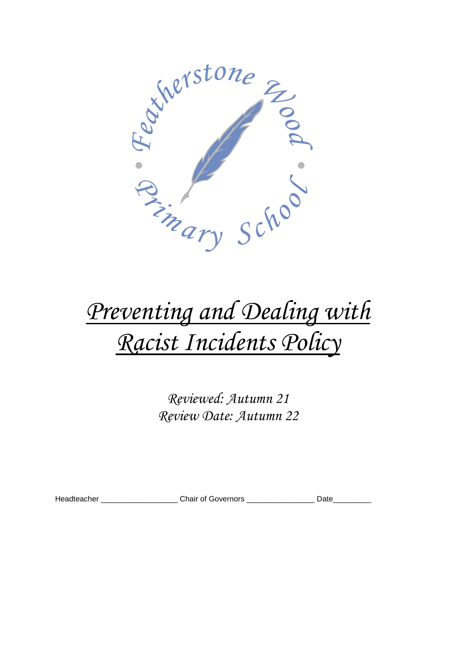

# *Preventing and Dealing with Racist Incidents Policy*

*Reviewed: Autumn 21 Review Date: Autumn 22*

Headteacher \_\_\_\_\_\_\_\_\_\_\_\_\_\_\_\_\_\_\_\_\_\_Chair of Governors \_\_\_\_\_\_\_\_\_\_\_\_\_\_\_\_\_\_\_Date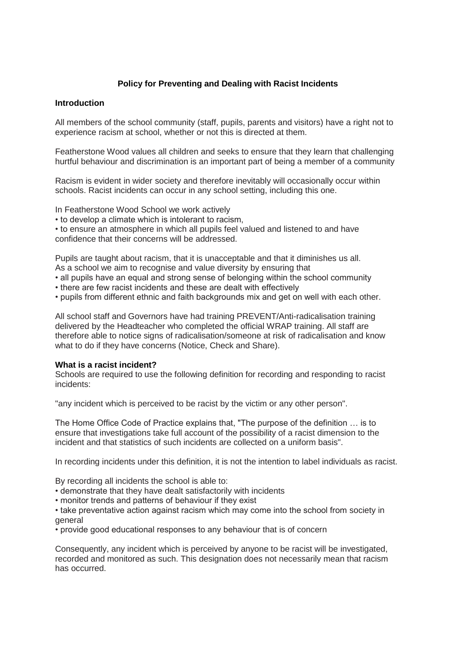## **Policy for Preventing and Dealing with Racist Incidents**

## **Introduction**

All members of the school community (staff, pupils, parents and visitors) have a right not to experience racism at school, whether or not this is directed at them.

Featherstone Wood values all children and seeks to ensure that they learn that challenging hurtful behaviour and discrimination is an important part of being a member of a community

Racism is evident in wider society and therefore inevitably will occasionally occur within schools. Racist incidents can occur in any school setting, including this one.

In Featherstone Wood School we work actively

• to develop a climate which is intolerant to racism,

• to ensure an atmosphere in which all pupils feel valued and listened to and have confidence that their concerns will be addressed.

Pupils are taught about racism, that it is unacceptable and that it diminishes us all. As a school we aim to recognise and value diversity by ensuring that

• all pupils have an equal and strong sense of belonging within the school community

- there are few racist incidents and these are dealt with effectively
- pupils from different ethnic and faith backgrounds mix and get on well with each other.

All school staff and Governors have had training PREVENT/Anti-radicalisation training delivered by the Headteacher who completed the official WRAP training. All staff are therefore able to notice signs of radicalisation/someone at risk of radicalisation and know what to do if they have concerns (Notice, Check and Share).

#### **What is a racist incident?**

Schools are required to use the following definition for recording and responding to racist incidents:

"any incident which is perceived to be racist by the victim or any other person".

The Home Office Code of Practice explains that, "The purpose of the definition … is to ensure that investigations take full account of the possibility of a racist dimension to the incident and that statistics of such incidents are collected on a uniform basis".

In recording incidents under this definition, it is not the intention to label individuals as racist.

By recording all incidents the school is able to:

- demonstrate that they have dealt satisfactorily with incidents
- monitor trends and patterns of behaviour if they exist

• take preventative action against racism which may come into the school from society in general

• provide good educational responses to any behaviour that is of concern

Consequently, any incident which is perceived by anyone to be racist will be investigated, recorded and monitored as such. This designation does not necessarily mean that racism has occurred.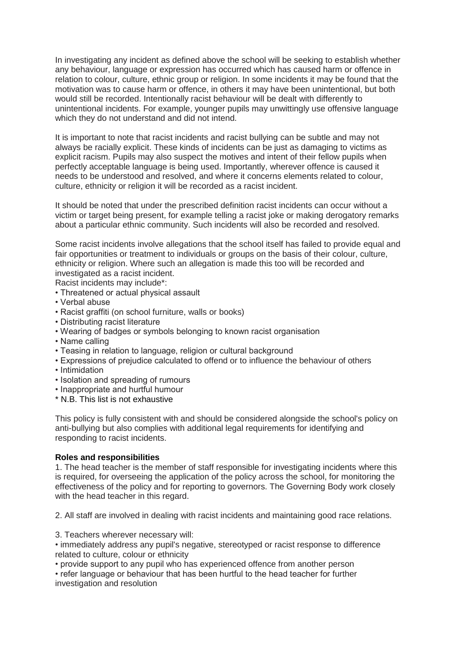In investigating any incident as defined above the school will be seeking to establish whether any behaviour, language or expression has occurred which has caused harm or offence in relation to colour, culture, ethnic group or religion. In some incidents it may be found that the motivation was to cause harm or offence, in others it may have been unintentional, but both would still be recorded. Intentionally racist behaviour will be dealt with differently to unintentional incidents. For example, younger pupils may unwittingly use offensive language which they do not understand and did not intend.

It is important to note that racist incidents and racist bullying can be subtle and may not always be racially explicit. These kinds of incidents can be just as damaging to victims as explicit racism. Pupils may also suspect the motives and intent of their fellow pupils when perfectly acceptable language is being used. Importantly, wherever offence is caused it needs to be understood and resolved, and where it concerns elements related to colour, culture, ethnicity or religion it will be recorded as a racist incident.

It should be noted that under the prescribed definition racist incidents can occur without a victim or target being present, for example telling a racist joke or making derogatory remarks about a particular ethnic community. Such incidents will also be recorded and resolved.

Some racist incidents involve allegations that the school itself has failed to provide equal and fair opportunities or treatment to individuals or groups on the basis of their colour, culture, ethnicity or religion. Where such an allegation is made this too will be recorded and investigated as a racist incident.

Racist incidents may include\*:

- Threatened or actual physical assault
- Verbal abuse
- Racist graffiti (on school furniture, walls or books)
- Distributing racist literature
- Wearing of badges or symbols belonging to known racist organisation
- Name calling
- Teasing in relation to language, religion or cultural background
- Expressions of prejudice calculated to offend or to influence the behaviour of others
- Intimidation
- Isolation and spreading of rumours
- Inappropriate and hurtful humour
- \* N.B. This list is not exhaustive

This policy is fully consistent with and should be considered alongside the school's policy on anti-bullying but also complies with additional legal requirements for identifying and responding to racist incidents.

#### **Roles and responsibilities**

1. The head teacher is the member of staff responsible for investigating incidents where this is required, for overseeing the application of the policy across the school, for monitoring the effectiveness of the policy and for reporting to governors. The Governing Body work closely with the head teacher in this regard.

2. All staff are involved in dealing with racist incidents and maintaining good race relations.

3. Teachers wherever necessary will:

• immediately address any pupil's negative, stereotyped or racist response to difference related to culture, colour or ethnicity

• provide support to any pupil who has experienced offence from another person

• refer language or behaviour that has been hurtful to the head teacher for further investigation and resolution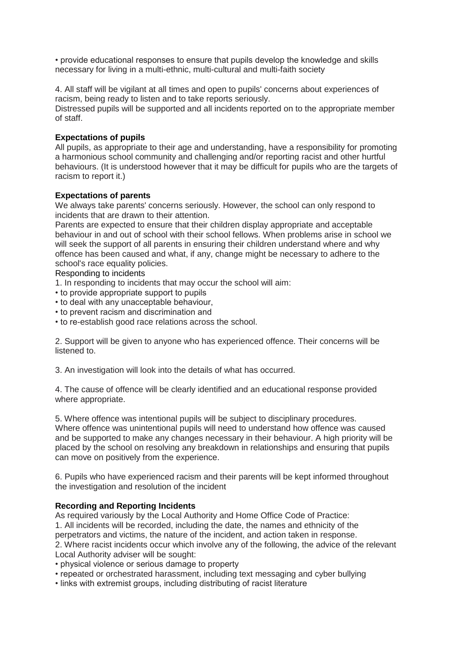• provide educational responses to ensure that pupils develop the knowledge and skills necessary for living in a multi-ethnic, multi-cultural and multi-faith society

4. All staff will be vigilant at all times and open to pupils' concerns about experiences of racism, being ready to listen and to take reports seriously.

Distressed pupils will be supported and all incidents reported on to the appropriate member of staff.

#### **Expectations of pupils**

All pupils, as appropriate to their age and understanding, have a responsibility for promoting a harmonious school community and challenging and/or reporting racist and other hurtful behaviours. (It is understood however that it may be difficult for pupils who are the targets of racism to report it.)

#### **Expectations of parents**

We always take parents' concerns seriously. However, the school can only respond to incidents that are drawn to their attention.

Parents are expected to ensure that their children display appropriate and acceptable behaviour in and out of school with their school fellows. When problems arise in school we will seek the support of all parents in ensuring their children understand where and why offence has been caused and what, if any, change might be necessary to adhere to the school's race equality policies.

#### Responding to incidents

1. In responding to incidents that may occur the school will aim:

- to provide appropriate support to pupils
- to deal with any unacceptable behaviour,
- to prevent racism and discrimination and
- to re-establish good race relations across the school.

2. Support will be given to anyone who has experienced offence. Their concerns will be listened to.

3. An investigation will look into the details of what has occurred.

4. The cause of offence will be clearly identified and an educational response provided where appropriate.

5. Where offence was intentional pupils will be subject to disciplinary procedures. Where offence was unintentional pupils will need to understand how offence was caused and be supported to make any changes necessary in their behaviour. A high priority will be placed by the school on resolving any breakdown in relationships and ensuring that pupils can move on positively from the experience.

6. Pupils who have experienced racism and their parents will be kept informed throughout the investigation and resolution of the incident

## **Recording and Reporting Incidents**

As required variously by the Local Authority and Home Office Code of Practice:

1. All incidents will be recorded, including the date, the names and ethnicity of the perpetrators and victims, the nature of the incident, and action taken in response. 2. Where racist incidents occur which involve any of the following, the advice of the relevant

Local Authority adviser will be sought:

• physical violence or serious damage to property

- repeated or orchestrated harassment, including text messaging and cyber bullying
- links with extremist groups, including distributing of racist literature